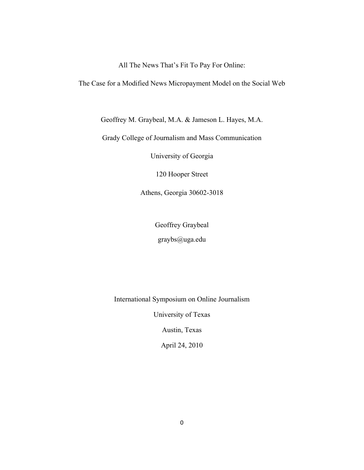All The News That's Fit To Pay For Online:

The Case for a Modified News Micropayment Model on the Social Web

Geoffrey M. Graybeal, M.A. & Jameson L. Hayes, M.A.

Grady College of Journalism and Mass Communication

University of Georgia

120 Hooper Street

Athens, Georgia 30602-3018

Geoffrey Graybeal

graybs@uga.edu

International Symposium on Online Journalism

University of Texas

Austin, Texas

April 24, 2010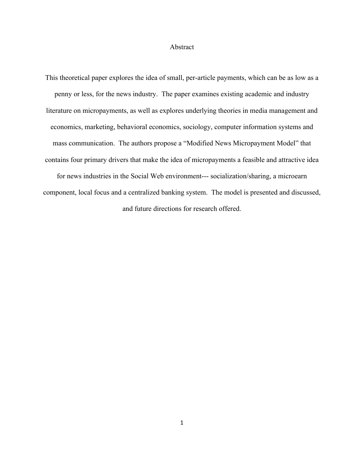#### Abstract

This theoretical paper explores the idea of small, per-article payments, which can be as low as a penny or less, for the news industry. The paper examines existing academic and industry literature on micropayments, as well as explores underlying theories in media management and economics, marketing, behavioral economics, sociology, computer information systems and mass communication. The authors propose a "Modified News Micropayment Model" that contains four primary drivers that make the idea of micropayments a feasible and attractive idea for news industries in the Social Web environment--- socialization/sharing, a microearn component, local focus and a centralized banking system. The model is presented and discussed, and future directions for research offered.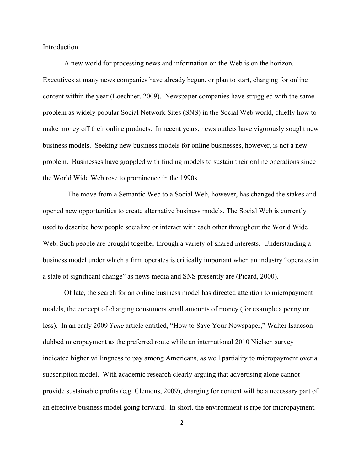Introduction

A new world for processing news and information on the Web is on the horizon. Executives at many news companies have already begun, or plan to start, charging for online content within the year (Loechner, 2009). Newspaper companies have struggled with the same problem as widely popular Social Network Sites (SNS) in the Social Web world, chiefly how to make money off their online products. In recent years, news outlets have vigorously sought new business models. Seeking new business models for online businesses, however, is not a new problem. Businesses have grappled with finding models to sustain their online operations since the World Wide Web rose to prominence in the 1990s.

 The move from a Semantic Web to a Social Web, however, has changed the stakes and opened new opportunities to create alternative business models. The Social Web is currently used to describe how people socialize or interact with each other throughout the World Wide Web. Such people are brought together through a variety of shared interests. Understanding a business model under which a firm operates is critically important when an industry "operates in a state of significant change" as news media and SNS presently are (Picard, 2000).

Of late, the search for an online business model has directed attention to micropayment models, the concept of charging consumers small amounts of money (for example a penny or less). In an early 2009 *Time* article entitled, "How to Save Your Newspaper," Walter Isaacson dubbed micropayment as the preferred route while an international 2010 Nielsen survey indicated higher willingness to pay among Americans, as well partiality to micropayment over a subscription model. With academic research clearly arguing that advertising alone cannot provide sustainable profits (e.g. Clemons, 2009), charging for content will be a necessary part of an effective business model going forward. In short, the environment is ripe for micropayment.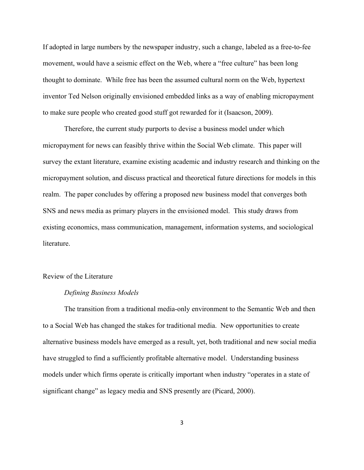If adopted in large numbers by the newspaper industry, such a change, labeled as a free-to-fee movement, would have a seismic effect on the Web, where a "free culture" has been long thought to dominate. While free has been the assumed cultural norm on the Web, hypertext inventor Ted Nelson originally envisioned embedded links as a way of enabling micropayment to make sure people who created good stuff got rewarded for it (Isaacson, 2009).

 Therefore, the current study purports to devise a business model under which micropayment for news can feasibly thrive within the Social Web climate. This paper will survey the extant literature, examine existing academic and industry research and thinking on the micropayment solution, and discuss practical and theoretical future directions for models in this realm. The paper concludes by offering a proposed new business model that converges both SNS and news media as primary players in the envisioned model. This study draws from existing economics, mass communication, management, information systems, and sociological literature.

#### Review of the Literature

#### *Defining Business Models*

The transition from a traditional media-only environment to the Semantic Web and then to a Social Web has changed the stakes for traditional media. New opportunities to create alternative business models have emerged as a result, yet, both traditional and new social media have struggled to find a sufficiently profitable alternative model. Understanding business models under which firms operate is critically important when industry "operates in a state of significant change" as legacy media and SNS presently are (Picard, 2000).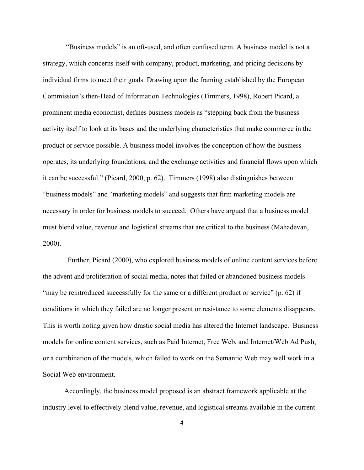"Business models" is an oft-used, and often confused term. A business model is not a strategy, which concerns itself with company, product, marketing, and pricing decisions by individual firms to meet their goals. Drawing upon the framing established by the European Commission's then-Head of Information Technologies (Timmers, 1998), Robert Picard, a prominent media economist, defines business models as "stepping back from the business activity itself to look at its bases and the underlying characteristics that make commerce in the product or service possible. A business model involves the conception of how the business operates, its underlying foundations, and the exchange activities and financial flows upon which it can be successful." (Picard, 2000, p. 62). Timmers (1998) also distinguishes between "business models" and "marketing models" and suggests that firm marketing models are necessary in order for business models to succeed. Others have argued that a business model must blend value, revenue and logistical streams that are critical to the business (Mahadevan, 2000).

 Further, Picard (2000), who explored business models of online content services before the advent and proliferation of social media, notes that failed or abandoned business models "may be reintroduced successfully for the same or a different product or service" (p. 62) if conditions in which they failed are no longer present or resistance to some elements disappears. This is worth noting given how drastic social media has altered the Internet landscape. Business models for online content services, such as Paid Internet, Free Web, and Internet/Web Ad Push, or a combination of the models, which failed to work on the Semantic Web may well work in a Social Web environment.

Accordingly, the business model proposed is an abstract framework applicable at the industry level to effectively blend value, revenue, and logistical streams available in the current

4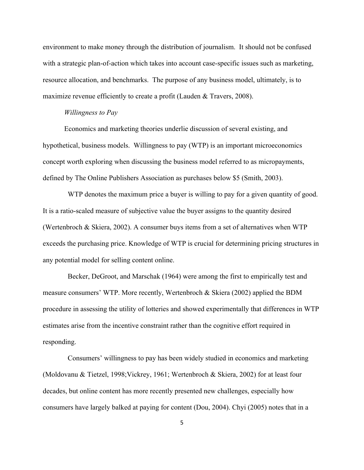environment to make money through the distribution of journalism. It should not be confused with a strategic plan-of-action which takes into account case-specific issues such as marketing, resource allocation, and benchmarks. The purpose of any business model, ultimately, is to maximize revenue efficiently to create a profit (Lauden & Travers, 2008).

## *Willingness to Pay*

Economics and marketing theories underlie discussion of several existing, and hypothetical, business models. Willingness to pay (WTP) is an important microeconomics concept worth exploring when discussing the business model referred to as micropayments, defined by The Online Publishers Association as purchases below \$5 (Smith, 2003).

 WTP denotes the maximum price a buyer is willing to pay for a given quantity of good. It is a ratio-scaled measure of subjective value the buyer assigns to the quantity desired (Wertenbroch & Skiera, 2002). A consumer buys items from a set of alternatives when WTP exceeds the purchasing price. Knowledge of WTP is crucial for determining pricing structures in any potential model for selling content online.

 Becker, DeGroot, and Marschak (1964) were among the first to empirically test and measure consumers' WTP. More recently, Wertenbroch & Skiera (2002) applied the BDM procedure in assessing the utility of lotteries and showed experimentally that differences in WTP estimates arise from the incentive constraint rather than the cognitive effort required in responding.

 Consumers' willingness to pay has been widely studied in economics and marketing (Moldovanu & Tietzel, 1998;Vickrey, 1961; Wertenbroch & Skiera, 2002) for at least four decades, but online content has more recently presented new challenges, especially how consumers have largely balked at paying for content (Dou, 2004). Chyi (2005) notes that in a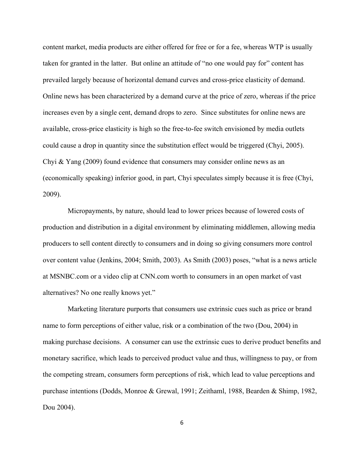content market, media products are either offered for free or for a fee, whereas WTP is usually taken for granted in the latter. But online an attitude of "no one would pay for" content has prevailed largely because of horizontal demand curves and cross-price elasticity of demand. Online news has been characterized by a demand curve at the price of zero, whereas if the price increases even by a single cent, demand drops to zero. Since substitutes for online news are available, cross-price elasticity is high so the free-to-fee switch envisioned by media outlets could cause a drop in quantity since the substitution effect would be triggered (Chyi, 2005). Chyi & Yang (2009) found evidence that consumers may consider online news as an (economically speaking) inferior good, in part, Chyi speculates simply because it is free (Chyi, 2009).

 Micropayments, by nature, should lead to lower prices because of lowered costs of production and distribution in a digital environment by eliminating middlemen, allowing media producers to sell content directly to consumers and in doing so giving consumers more control over content value (Jenkins, 2004; Smith, 2003). As Smith (2003) poses, "what is a news article at MSNBC.com or a video clip at CNN.com worth to consumers in an open market of vast alternatives? No one really knows yet."

 Marketing literature purports that consumers use extrinsic cues such as price or brand name to form perceptions of either value, risk or a combination of the two (Dou, 2004) in making purchase decisions. A consumer can use the extrinsic cues to derive product benefits and monetary sacrifice, which leads to perceived product value and thus, willingness to pay, or from the competing stream, consumers form perceptions of risk, which lead to value perceptions and purchase intentions (Dodds, Monroe & Grewal, 1991; Zeithaml, 1988, Bearden & Shimp, 1982, Dou 2004).

6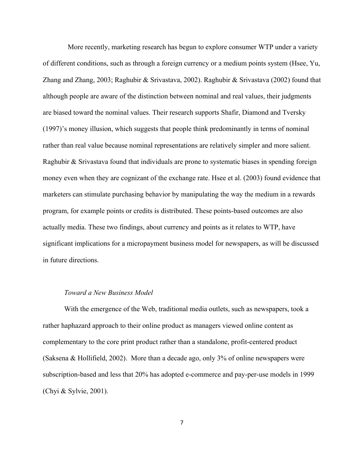More recently, marketing research has begun to explore consumer WTP under a variety of different conditions, such as through a foreign currency or a medium points system (Hsee, Yu, Zhang and Zhang, 2003; Raghubir & Srivastava, 2002). Raghubir & Srivastava (2002) found that although people are aware of the distinction between nominal and real values, their judgments are biased toward the nominal values. Their research supports Shafir, Diamond and Tversky (1997)'s money illusion, which suggests that people think predominantly in terms of nominal rather than real value because nominal representations are relatively simpler and more salient. Raghubir & Srivastava found that individuals are prone to systematic biases in spending foreign money even when they are cognizant of the exchange rate. Hsee et al. (2003) found evidence that marketers can stimulate purchasing behavior by manipulating the way the medium in a rewards program, for example points or credits is distributed. These points-based outcomes are also actually media. These two findings, about currency and points as it relates to WTP, have significant implications for a micropayment business model for newspapers, as will be discussed in future directions.

## *Toward a New Business Model*

 With the emergence of the Web, traditional media outlets, such as newspapers, took a rather haphazard approach to their online product as managers viewed online content as complementary to the core print product rather than a standalone, profit-centered product (Saksena & Hollifield, 2002). More than a decade ago, only 3% of online newspapers were subscription-based and less that 20% has adopted e-commerce and pay-per-use models in 1999 (Chyi & Sylvie, 2001).

7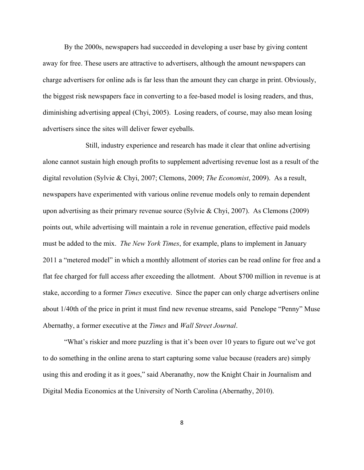By the 2000s, newspapers had succeeded in developing a user base by giving content away for free. These users are attractive to advertisers, although the amount newspapers can charge advertisers for online ads is far less than the amount they can charge in print. Obviously, the biggest risk newspapers face in converting to a fee-based model is losing readers, and thus, diminishing advertising appeal (Chyi, 2005). Losing readers, of course, may also mean losing advertisers since the sites will deliver fewer eyeballs.

Still, industry experience and research has made it clear that online advertising alone cannot sustain high enough profits to supplement advertising revenue lost as a result of the digital revolution (Sylvie & Chyi, 2007; Clemons, 2009; *The Economist*, 2009). As a result, newspapers have experimented with various online revenue models only to remain dependent upon advertising as their primary revenue source (Sylvie & Chyi, 2007). As Clemons (2009) points out, while advertising will maintain a role in revenue generation, effective paid models must be added to the mix. *The New York Times*, for example, plans to implement in January 2011 a "metered model" in which a monthly allotment of stories can be read online for free and a flat fee charged for full access after exceeding the allotment. About \$700 million in revenue is at stake, according to a former *Times* executive. Since the paper can only charge advertisers online about 1/40th of the price in print it must find new revenue streams, said Penelope "Penny" Muse Abernathy, a former executive at the *Times* and *Wall Street Journal*.

"What's riskier and more puzzling is that it's been over 10 years to figure out we've got to do something in the online arena to start capturing some value because (readers are) simply using this and eroding it as it goes," said Aberanathy, now the Knight Chair in Journalism and Digital Media Economics at the University of North Carolina (Abernathy, 2010).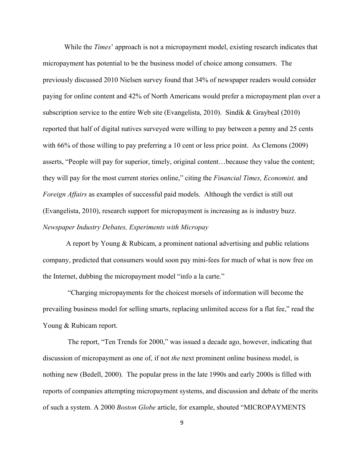While the *Times*' approach is not a micropayment model, existing research indicates that micropayment has potential to be the business model of choice among consumers. The previously discussed 2010 Nielsen survey found that 34% of newspaper readers would consider paying for online content and 42% of North Americans would prefer a micropayment plan over a subscription service to the entire Web site (Evangelista, 2010). Sindik & Graybeal (2010) reported that half of digital natives surveyed were willing to pay between a penny and 25 cents with 66% of those willing to pay preferring a 10 cent or less price point. As Clemons (2009) asserts, "People will pay for superior, timely, original content…because they value the content; they will pay for the most current stories online," citing the *Financial Times, Economist,* and *Foreign Affairs* as examples of successful paid models. Although the verdict is still out (Evangelista, 2010), research support for micropayment is increasing as is industry buzz. *Newspaper Industry Debates, Experiments with Micropay*

 A report by Young & Rubicam, a prominent national advertising and public relations company, predicted that consumers would soon pay mini-fees for much of what is now free on the Internet, dubbing the micropayment model "info a la carte."

 "Charging micropayments for the choicest morsels of information will become the prevailing business model for selling smarts, replacing unlimited access for a flat fee," read the Young & Rubicam report.

 The report, "Ten Trends for 2000," was issued a decade ago, however, indicating that discussion of micropayment as one of, if not *the* next prominent online business model, is nothing new (Bedell, 2000). The popular press in the late 1990s and early 2000s is filled with reports of companies attempting micropayment systems, and discussion and debate of the merits of such a system. A 2000 *Boston Globe* article, for example, shouted "MICROPAYMENTS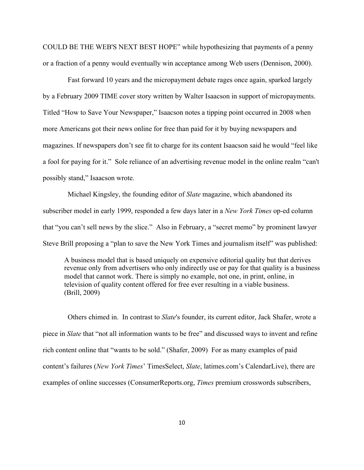COULD BE THE WEB'S NEXT BEST HOPE" while hypothesizing that payments of a penny or a fraction of a penny would eventually win acceptance among Web users (Dennison, 2000).

 Fast forward 10 years and the micropayment debate rages once again, sparked largely by a February 2009 TIME cover story written by Walter Isaacson in support of micropayments. Titled "How to Save Your Newspaper," Isaacson notes a tipping point occurred in 2008 when more Americans got their news online for free than paid for it by buying newspapers and magazines. If newspapers don't see fit to charge for its content Isaacson said he would "feel like a fool for paying for it." Sole reliance of an advertising revenue model in the online realm "can't possibly stand," Isaacson wrote.

 Michael Kingsley, the founding editor of *Slate* magazine, which abandoned its subscriber model in early 1999, responded a few days later in a *New York Times* op-ed column that "you can't sell news by the slice." Also in February, a "secret memo" by prominent lawyer Steve Brill proposing a "plan to save the New York Times and journalism itself" was published:

A business model that is based uniquely on expensive editorial quality but that derives revenue only from advertisers who only indirectly use or pay for that quality is a business model that cannot work. There is simply no example, not one, in print, online, in television of quality content offered for free ever resulting in a viable business. (Brill, 2009)

 Others chimed in. In contrast to *Slate*'s founder, its current editor, Jack Shafer, wrote a piece in *Slate* that "not all information wants to be free" and discussed ways to invent and refine rich content online that "wants to be sold." (Shafer, 2009) For as many examples of paid content's failures (*New York Times*' TimesSelect, *Slate*, latimes.com's CalendarLive), there are examples of online successes (ConsumerReports.org, *Times* premium crosswords subscribers,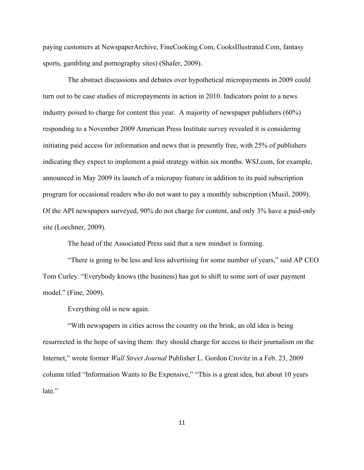paying customers at NewspaperArchive, FineCooking.Com, CooksIllustrated.Com, fantasy sports, gambling and pornography sites) (Shafer, 2009).

 The abstract discussions and debates over hypothetical micropayments in 2009 could turn out to be case studies of micropayments in action in 2010. Indicators point to a news industry poised to charge for content this year. A majority of newspaper publishers (60%) responding to a November 2009 American Press Institute survey revealed it is considering initiating paid access for information and news that is presently free, with 25% of publishers indicating they expect to implement a paid strategy within six months. WSJ.com, for example, announced in May 2009 its launch of a micropay feature in addition to its paid subscription program for occasional readers who do not want to pay a monthly subscription (Musil, 2009). Of the API newspapers surveyed, 90% do not charge for content, and only 3% have a paid-only site (Loechner, 2009).

The head of the Associated Press said that a new mindset is forming.

 "There is going to be less and less advertising for some number of years," said AP CEO Tom Curley. "Everybody knows (the business) has got to shift to some sort of user payment model." (Fine, 2009).

Everything old is new again.

 "With newspapers in cities across the country on the brink, an old idea is being resurrected in the hope of saving them: they should charge for access to their journalism on the Internet," wrote former *Wall Street Journal* Publisher L. Gordon Crovitz in a Feb. 23, 2009 column titled "Information Wants to Be Expensive," "This is a great idea, but about 10 years late."

11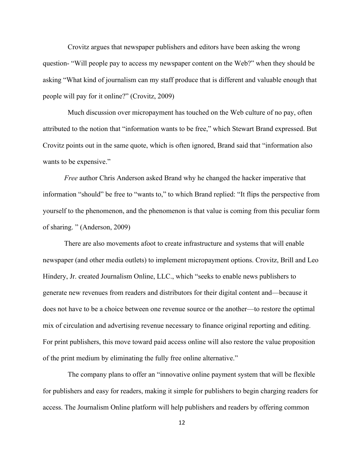Crovitz argues that newspaper publishers and editors have been asking the wrong question- "Will people pay to access my newspaper content on the Web?" when they should be asking "What kind of journalism can my staff produce that is different and valuable enough that people will pay for it online?" (Crovitz, 2009)

 Much discussion over micropayment has touched on the Web culture of no pay, often attributed to the notion that "information wants to be free," which Stewart Brand expressed. But Crovitz points out in the same quote, which is often ignored, Brand said that "information also wants to be expensive."

*Free* author Chris Anderson asked Brand why he changed the hacker imperative that information "should" be free to "wants to," to which Brand replied: "It flips the perspective from yourself to the phenomenon, and the phenomenon is that value is coming from this peculiar form of sharing. " (Anderson, 2009)

There are also movements afoot to create infrastructure and systems that will enable newspaper (and other media outlets) to implement micropayment options. Crovitz, Brill and Leo Hindery, Jr. created Journalism Online, LLC., which "seeks to enable news publishers to generate new revenues from readers and distributors for their digital content and—because it does not have to be a choice between one revenue source or the another—to restore the optimal mix of circulation and advertising revenue necessary to finance original reporting and editing. For print publishers, this move toward paid access online will also restore the value proposition of the print medium by eliminating the fully free online alternative."

 The company plans to offer an "innovative online payment system that will be flexible for publishers and easy for readers, making it simple for publishers to begin charging readers for access. The Journalism Online platform will help publishers and readers by offering common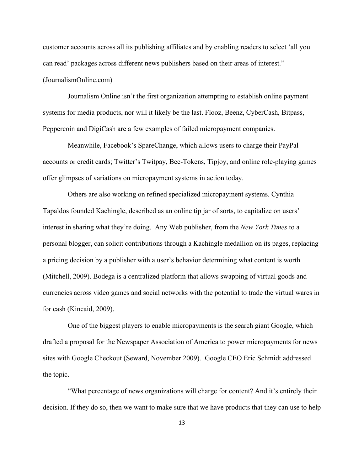customer accounts across all its publishing affiliates and by enabling readers to select 'all you can read' packages across different news publishers based on their areas of interest." (JournalismOnline.com)

 Journalism Online isn't the first organization attempting to establish online payment systems for media products, nor will it likely be the last. Flooz, Beenz, CyberCash, Bitpass, Peppercoin and DigiCash are a few examples of failed micropayment companies.

 Meanwhile, Facebook's SpareChange, which allows users to charge their PayPal accounts or credit cards; Twitter's Twitpay, Bee-Tokens, Tipjoy, and online role-playing games offer glimpses of variations on micropayment systems in action today.

 Others are also working on refined specialized micropayment systems. Cynthia Tapaldos founded Kachingle, described as an online tip jar of sorts, to capitalize on users' interest in sharing what they're doing. Any Web publisher, from the *New York Times* to a personal blogger, can solicit contributions through a Kachingle medallion on its pages, replacing a pricing decision by a publisher with a user's behavior determining what content is worth (Mitchell, 2009). Bodega is a centralized platform that allows swapping of virtual goods and currencies across video games and social networks with the potential to trade the virtual wares in for cash (Kincaid, 2009).

 One of the biggest players to enable micropayments is the search giant Google, which drafted a proposal for the Newspaper Association of America to power micropayments for news sites with Google Checkout (Seward, November 2009). Google CEO Eric Schmidt addressed the topic.

 "What percentage of news organizations will charge for content? And it's entirely their decision. If they do so, then we want to make sure that we have products that they can use to help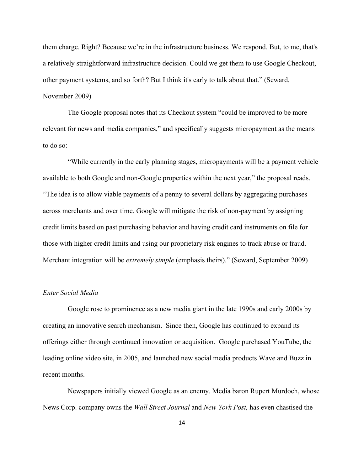them charge. Right? Because we're in the infrastructure business. We respond. But, to me, that's a relatively straightforward infrastructure decision. Could we get them to use Google Checkout, other payment systems, and so forth? But I think it's early to talk about that." (Seward, November 2009)

 The Google proposal notes that its Checkout system "could be improved to be more relevant for news and media companies," and specifically suggests micropayment as the means to do so:

 "While currently in the early planning stages, micropayments will be a payment vehicle available to both Google and non-Google properties within the next year," the proposal reads. "The idea is to allow viable payments of a penny to several dollars by aggregating purchases across merchants and over time. Google will mitigate the risk of non-payment by assigning credit limits based on past purchasing behavior and having credit card instruments on file for those with higher credit limits and using our proprietary risk engines to track abuse or fraud. Merchant integration will be *extremely simple* (emphasis theirs)." (Seward, September 2009)

### *Enter Social Media*

 Google rose to prominence as a new media giant in the late 1990s and early 2000s by creating an innovative search mechanism. Since then, Google has continued to expand its offerings either through continued innovation or acquisition. Google purchased YouTube, the leading online video site, in 2005, and launched new social media products Wave and Buzz in recent months.

 Newspapers initially viewed Google as an enemy. Media baron Rupert Murdoch, whose News Corp. company owns the *Wall Street Journal* and *New York Post,* has even chastised the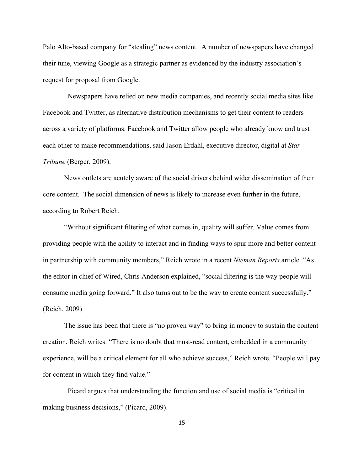Palo Alto-based company for "stealing" news content. A number of newspapers have changed their tune, viewing Google as a strategic partner as evidenced by the industry association's request for proposal from Google.

 Newspapers have relied on new media companies, and recently social media sites like Facebook and Twitter, as alternative distribution mechanisms to get their content to readers across a variety of platforms. Facebook and Twitter allow people who already know and trust each other to make recommendations, said Jason Erdahl, executive director, digital at *Star Tribune* (Berger, 2009).

News outlets are acutely aware of the social drivers behind wider dissemination of their core content. The social dimension of news is likely to increase even further in the future, according to Robert Reich.

"Without significant filtering of what comes in, quality will suffer. Value comes from providing people with the ability to interact and in finding ways to spur more and better content in partnership with community members," Reich wrote in a recent *Nieman Reports* article. "As the editor in chief of Wired, Chris Anderson explained, "social filtering is the way people will consume media going forward." It also turns out to be the way to create content successfully." (Reich, 2009)

The issue has been that there is "no proven way" to bring in money to sustain the content creation, Reich writes. "There is no doubt that must-read content, embedded in a community experience, will be a critical element for all who achieve success," Reich wrote. "People will pay for content in which they find value."

 Picard argues that understanding the function and use of social media is "critical in making business decisions," (Picard, 2009).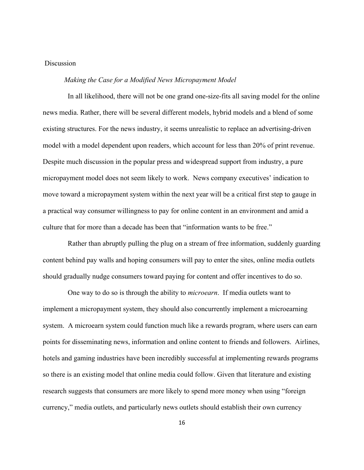## Discussion

### *Making the Case for a Modified News Micropayment Model*

 In all likelihood, there will not be one grand one-size-fits all saving model for the online news media. Rather, there will be several different models, hybrid models and a blend of some existing structures. For the news industry, it seems unrealistic to replace an advertising-driven model with a model dependent upon readers, which account for less than 20% of print revenue. Despite much discussion in the popular press and widespread support from industry, a pure micropayment model does not seem likely to work. News company executives' indication to move toward a micropayment system within the next year will be a critical first step to gauge in a practical way consumer willingness to pay for online content in an environment and amid a culture that for more than a decade has been that "information wants to be free."

 Rather than abruptly pulling the plug on a stream of free information, suddenly guarding content behind pay walls and hoping consumers will pay to enter the sites, online media outlets should gradually nudge consumers toward paying for content and offer incentives to do so.

 One way to do so is through the ability to *microearn*. If media outlets want to implement a micropayment system, they should also concurrently implement a microearning system. A microearn system could function much like a rewards program, where users can earn points for disseminating news, information and online content to friends and followers. Airlines, hotels and gaming industries have been incredibly successful at implementing rewards programs so there is an existing model that online media could follow. Given that literature and existing research suggests that consumers are more likely to spend more money when using "foreign currency," media outlets, and particularly news outlets should establish their own currency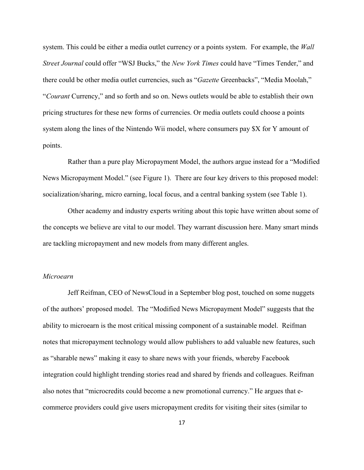system. This could be either a media outlet currency or a points system. For example, the *Wall Street Journal* could offer "WSJ Bucks," the *New York Times* could have "Times Tender," and there could be other media outlet currencies, such as "*Gazette* Greenbacks", "Media Moolah," "*Courant* Currency," and so forth and so on. News outlets would be able to establish their own pricing structures for these new forms of currencies. Or media outlets could choose a points system along the lines of the Nintendo Wii model, where consumers pay \$X for Y amount of points.

 Rather than a pure play Micropayment Model, the authors argue instead for a "Modified News Micropayment Model." (see Figure 1). There are four key drivers to this proposed model: socialization/sharing, micro earning, local focus, and a central banking system (see Table 1).

 Other academy and industry experts writing about this topic have written about some of the concepts we believe are vital to our model. They warrant discussion here. Many smart minds are tackling micropayment and new models from many different angles.

## *Microearn*

 Jeff Reifman, CEO of NewsCloud in a September blog post, touched on some nuggets of the authors' proposed model. The "Modified News Micropayment Model" suggests that the ability to microearn is the most critical missing component of a sustainable model. Reifman notes that micropayment technology would allow publishers to add valuable new features, such as "sharable news" making it easy to share news with your friends, whereby Facebook integration could highlight trending stories read and shared by friends and colleagues. Reifman also notes that "microcredits could become a new promotional currency." He argues that ecommerce providers could give users micropayment credits for visiting their sites (similar to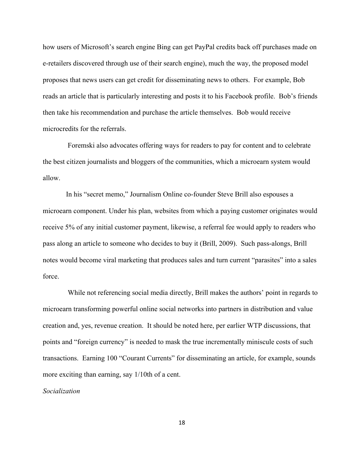how users of Microsoft's search engine Bing can get PayPal credits back off purchases made on e-retailers discovered through use of their search engine), much the way, the proposed model proposes that news users can get credit for disseminating news to others. For example, Bob reads an article that is particularly interesting and posts it to his Facebook profile. Bob's friends then take his recommendation and purchase the article themselves. Bob would receive microcredits for the referrals.

 Foremski also advocates offering ways for readers to pay for content and to celebrate the best citizen journalists and bloggers of the communities, which a microearn system would allow.

 In his "secret memo," Journalism Online co-founder Steve Brill also espouses a microearn component. Under his plan, websites from which a paying customer originates would receive 5% of any initial customer payment, likewise, a referral fee would apply to readers who pass along an article to someone who decides to buy it (Brill, 2009). Such pass-alongs, Brill notes would become viral marketing that produces sales and turn current "parasites" into a sales force.

 While not referencing social media directly, Brill makes the authors' point in regards to microearn transforming powerful online social networks into partners in distribution and value creation and, yes, revenue creation. It should be noted here, per earlier WTP discussions, that points and "foreign currency" is needed to mask the true incrementally miniscule costs of such transactions. Earning 100 "Courant Currents" for disseminating an article, for example, sounds more exciting than earning, say 1/10th of a cent.

*Socialization*

18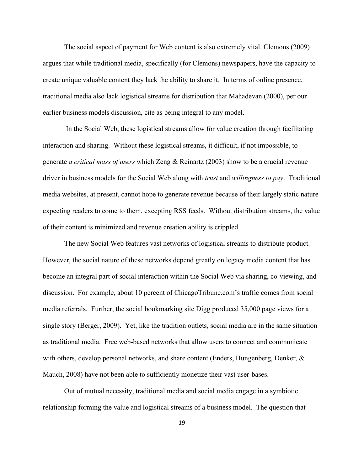The social aspect of payment for Web content is also extremely vital. Clemons (2009) argues that while traditional media, specifically (for Clemons) newspapers, have the capacity to create unique valuable content they lack the ability to share it. In terms of online presence, traditional media also lack logistical streams for distribution that Mahadevan (2000), per our earlier business models discussion, cite as being integral to any model.

In the Social Web, these logistical streams allow for value creation through facilitating interaction and sharing. Without these logistical streams, it difficult, if not impossible, to generate *a critical mass of users* which Zeng & Reinartz (2003) show to be a crucial revenue driver in business models for the Social Web along with *trust* and *willingness to pay*. Traditional media websites, at present, cannot hope to generate revenue because of their largely static nature expecting readers to come to them, excepting RSS feeds. Without distribution streams, the value of their content is minimized and revenue creation ability is crippled.

The new Social Web features vast networks of logistical streams to distribute product. However, the social nature of these networks depend greatly on legacy media content that has become an integral part of social interaction within the Social Web via sharing, co-viewing, and discussion. For example, about 10 percent of ChicagoTribune.com's traffic comes from social media referrals. Further, the social bookmarking site Digg produced 35,000 page views for a single story (Berger, 2009). Yet, like the tradition outlets, social media are in the same situation as traditional media. Free web-based networks that allow users to connect and communicate with others, develop personal networks, and share content (Enders, Hungenberg, Denker, & Mauch, 2008) have not been able to sufficiently monetize their vast user-bases.

Out of mutual necessity, traditional media and social media engage in a symbiotic relationship forming the value and logistical streams of a business model. The question that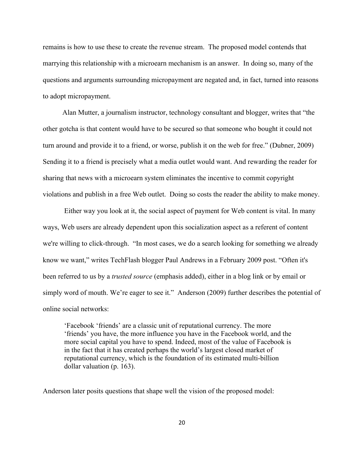remains is how to use these to create the revenue stream. The proposed model contends that marrying this relationship with a microearn mechanism is an answer. In doing so, many of the questions and arguments surrounding micropayment are negated and, in fact, turned into reasons to adopt micropayment.

 Alan Mutter, a journalism instructor, technology consultant and blogger, writes that "the other gotcha is that content would have to be secured so that someone who bought it could not turn around and provide it to a friend, or worse, publish it on the web for free." (Dubner, 2009) Sending it to a friend is precisely what a media outlet would want. And rewarding the reader for sharing that news with a microearn system eliminates the incentive to commit copyright violations and publish in a free Web outlet. Doing so costs the reader the ability to make money.

Either way you look at it, the social aspect of payment for Web content is vital. In many ways, Web users are already dependent upon this socialization aspect as a referent of content we're willing to click-through. "In most cases, we do a search looking for something we already know we want," writes TechFlash blogger Paul Andrews in a February 2009 post. "Often it's been referred to us by a *trusted source* (emphasis added), either in a blog link or by email or simply word of mouth. We're eager to see it." Anderson (2009) further describes the potential of online social networks:

'Facebook 'friends' are a classic unit of reputational currency. The more 'friends' you have, the more influence you have in the Facebook world, and the more social capital you have to spend. Indeed, most of the value of Facebook is in the fact that it has created perhaps the world's largest closed market of reputational currency, which is the foundation of its estimated multi-billion dollar valuation (p. 163).

Anderson later posits questions that shape well the vision of the proposed model: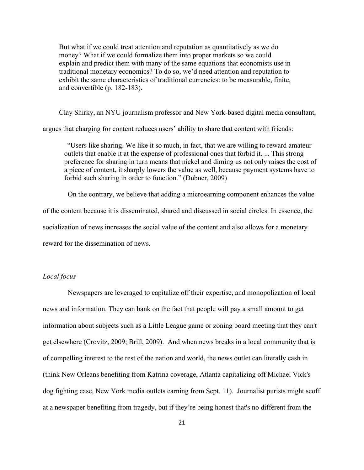But what if we could treat attention and reputation as quantitatively as we do money? What if we could formalize them into proper markets so we could explain and predict them with many of the same equations that economists use in traditional monetary economics? To do so, we'd need attention and reputation to exhibit the same characteristics of traditional currencies: to be measurable, finite, and convertible (p. 182-183).

Clay Shirky, an NYU journalism professor and New York-based digital media consultant,

argues that charging for content reduces users' ability to share that content with friends:

"Users like sharing. We like it so much, in fact, that we are willing to reward amateur outlets that enable it at the expense of professional ones that forbid it. ... This strong preference for sharing in turn means that nickel and diming us not only raises the cost of a piece of content, it sharply lowers the value as well, because payment systems have to forbid such sharing in order to function." (Dubner, 2009)

 On the contrary, we believe that adding a microearning component enhances the value of the content because it is disseminated, shared and discussed in social circles. In essence, the socialization of news increases the social value of the content and also allows for a monetary reward for the dissemination of news.

## *Local focus*

 Newspapers are leveraged to capitalize off their expertise, and monopolization of local news and information. They can bank on the fact that people will pay a small amount to get information about subjects such as a Little League game or zoning board meeting that they can't get elsewhere (Crovitz, 2009; Brill, 2009). And when news breaks in a local community that is of compelling interest to the rest of the nation and world, the news outlet can literally cash in (think New Orleans benefiting from Katrina coverage, Atlanta capitalizing off Michael Vick's dog fighting case, New York media outlets earning from Sept. 11). Journalist purists might scoff at a newspaper benefiting from tragedy, but if they're being honest that's no different from the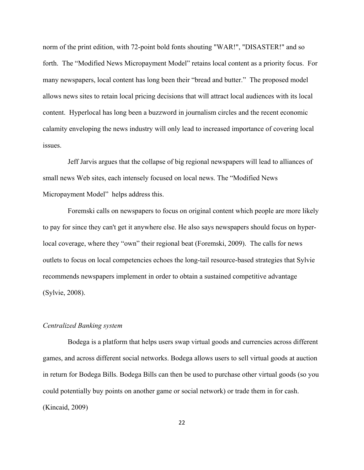norm of the print edition, with 72-point bold fonts shouting "WAR!", "DISASTER!" and so forth. The "Modified News Micropayment Model" retains local content as a priority focus. For many newspapers, local content has long been their "bread and butter." The proposed model allows news sites to retain local pricing decisions that will attract local audiences with its local content. Hyperlocal has long been a buzzword in journalism circles and the recent economic calamity enveloping the news industry will only lead to increased importance of covering local issues.

 Jeff Jarvis argues that the collapse of big regional newspapers will lead to alliances of small news Web sites, each intensely focused on local news. The "Modified News Micropayment Model" helps address this.

 Foremski calls on newspapers to focus on original content which people are more likely to pay for since they can't get it anywhere else. He also says newspapers should focus on hyperlocal coverage, where they "own" their regional beat (Foremski, 2009). The calls for news outlets to focus on local competencies echoes the long-tail resource-based strategies that Sylvie recommends newspapers implement in order to obtain a sustained competitive advantage (Sylvie, 2008).

#### *Centralized Banking system*

 Bodega is a platform that helps users swap virtual goods and currencies across different games, and across different social networks. Bodega allows users to sell virtual goods at auction in return for Bodega Bills. Bodega Bills can then be used to purchase other virtual goods (so you could potentially buy points on another game or social network) or trade them in for cash. (Kincaid, 2009)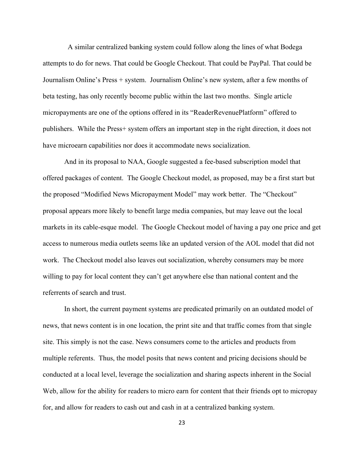A similar centralized banking system could follow along the lines of what Bodega attempts to do for news. That could be Google Checkout. That could be PayPal. That could be Journalism Online's Press + system. Journalism Online's new system, after a few months of beta testing, has only recently become public within the last two months. Single article micropayments are one of the options offered in its "ReaderRevenuePlatform" offered to publishers. While the Press+ system offers an important step in the right direction, it does not have microearn capabilities nor does it accommodate news socialization.

And in its proposal to NAA, Google suggested a fee-based subscription model that offered packages of content. The Google Checkout model, as proposed, may be a first start but the proposed "Modified News Micropayment Model" may work better. The "Checkout" proposal appears more likely to benefit large media companies, but may leave out the local markets in its cable-esque model. The Google Checkout model of having a pay one price and get access to numerous media outlets seems like an updated version of the AOL model that did not work. The Checkout model also leaves out socialization, whereby consumers may be more willing to pay for local content they can't get anywhere else than national content and the referrents of search and trust.

In short, the current payment systems are predicated primarily on an outdated model of news, that news content is in one location, the print site and that traffic comes from that single site. This simply is not the case. News consumers come to the articles and products from multiple referents. Thus, the model posits that news content and pricing decisions should be conducted at a local level, leverage the socialization and sharing aspects inherent in the Social Web, allow for the ability for readers to micro earn for content that their friends opt to micropay for, and allow for readers to cash out and cash in at a centralized banking system.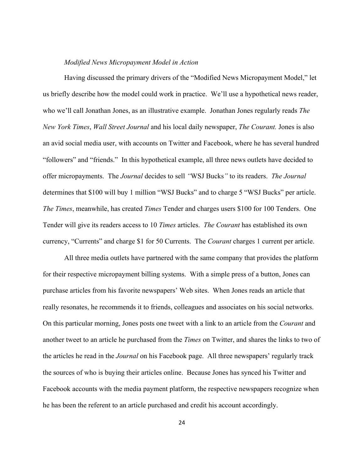#### *Modified News Micropayment Model in Action*

Having discussed the primary drivers of the "Modified News Micropayment Model," let us briefly describe how the model could work in practice. We'll use a hypothetical news reader, who we'll call Jonathan Jones, as an illustrative example. Jonathan Jones regularly reads *The New York Times*, *Wall Street Journal* and his local daily newspaper, *The Courant.* Jones is also an avid social media user, with accounts on Twitter and Facebook, where he has several hundred "followers" and "friends." In this hypothetical example, all three news outlets have decided to offer micropayments. The *Journal* decides to sell *"*WSJ Bucks*"* to its readers. *The Journal* determines that \$100 will buy 1 million "WSJ Bucks" and to charge 5 "WSJ Bucks" per article. *The Times*, meanwhile, has created *Times* Tender and charges users \$100 for 100 Tenders. One Tender will give its readers access to 10 *Times* articles. *The Courant* has established its own currency, "Currents" and charge \$1 for 50 Currents. The *Courant* charges 1 current per article.

All three media outlets have partnered with the same company that provides the platform for their respective micropayment billing systems. With a simple press of a button, Jones can purchase articles from his favorite newspapers' Web sites. When Jones reads an article that really resonates, he recommends it to friends, colleagues and associates on his social networks. On this particular morning, Jones posts one tweet with a link to an article from the *Courant* and another tweet to an article he purchased from the *Times* on Twitter, and shares the links to two of the articles he read in the *Journal* on his Facebook page. All three newspapers' regularly track the sources of who is buying their articles online. Because Jones has synced his Twitter and Facebook accounts with the media payment platform, the respective newspapers recognize when he has been the referent to an article purchased and credit his account accordingly.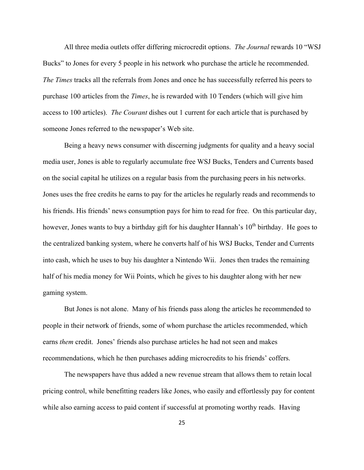All three media outlets offer differing microcredit options. *The Journal* rewards 10 "WSJ Bucks" to Jones for every 5 people in his network who purchase the article he recommended. *The Times* tracks all the referrals from Jones and once he has successfully referred his peers to purchase 100 articles from the *Times*, he is rewarded with 10 Tenders (which will give him access to 100 articles). *The Courant* dishes out 1 current for each article that is purchased by someone Jones referred to the newspaper's Web site.

Being a heavy news consumer with discerning judgments for quality and a heavy social media user, Jones is able to regularly accumulate free WSJ Bucks, Tenders and Currents based on the social capital he utilizes on a regular basis from the purchasing peers in his networks. Jones uses the free credits he earns to pay for the articles he regularly reads and recommends to his friends. His friends' news consumption pays for him to read for free. On this particular day, however, Jones wants to buy a birthday gift for his daughter Hannah's  $10<sup>th</sup>$  birthday. He goes to the centralized banking system, where he converts half of his WSJ Bucks, Tender and Currents into cash, which he uses to buy his daughter a Nintendo Wii. Jones then trades the remaining half of his media money for Wii Points, which he gives to his daughter along with her new gaming system.

But Jones is not alone. Many of his friends pass along the articles he recommended to people in their network of friends, some of whom purchase the articles recommended, which earns *them* credit. Jones' friends also purchase articles he had not seen and makes recommendations, which he then purchases adding microcredits to his friends' coffers.

The newspapers have thus added a new revenue stream that allows them to retain local pricing control, while benefitting readers like Jones, who easily and effortlessly pay for content while also earning access to paid content if successful at promoting worthy reads. Having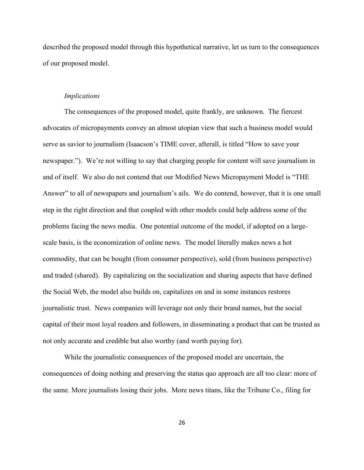described the proposed model through this hypothetical narrative, let us turn to the consequences of our proposed model.

#### *Implications*

The consequences of the proposed model, quite frankly, are unknown. The fiercest advocates of micropayments convey an almost utopian view that such a business model would serve as savior to journalism (Isaacson's TIME cover, afterall, is titled "How to save your newspaper."). We're not willing to say that charging people for content will save journalism in and of itself. We also do not contend that our Modified News Micropayment Model is "THE Answer" to all of newspapers and journalism's ails. We do contend, however, that it is one small step in the right direction and that coupled with other models could help address some of the problems facing the news media. One potential outcome of the model, if adopted on a largescale basis, is the economization of online news. The model literally makes news a hot commodity, that can be bought (from consumer perspective), sold (from business perspective) and traded (shared). By capitalizing on the socialization and sharing aspects that have defined the Social Web, the model also builds on, capitalizes on and in some instances restores journalistic trust. News companies will leverage not only their brand names, but the social capital of their most loyal readers and followers, in disseminating a product that can be trusted as not only accurate and credible but also worthy (and worth paying for).

 While the journalistic consequences of the proposed model are uncertain, the consequences of doing nothing and preserving the status quo approach are all too clear: more of the same. More journalists losing their jobs. More news titans, like the Tribune Co., filing for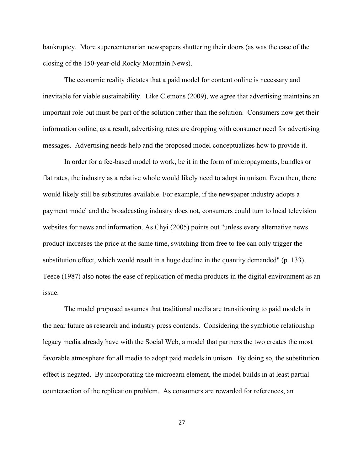bankruptcy. More supercentenarian newspapers shuttering their doors (as was the case of the closing of the 150-year-old Rocky Mountain News).

The economic reality dictates that a paid model for content online is necessary and inevitable for viable sustainability. Like Clemons (2009), we agree that advertising maintains an important role but must be part of the solution rather than the solution. Consumers now get their information online; as a result, advertising rates are dropping with consumer need for advertising messages. Advertising needs help and the proposed model conceptualizes how to provide it.

In order for a fee-based model to work, be it in the form of micropayments, bundles or flat rates, the industry as a relative whole would likely need to adopt in unison. Even then, there would likely still be substitutes available. For example, if the newspaper industry adopts a payment model and the broadcasting industry does not, consumers could turn to local television websites for news and information. As Chyi (2005) points out "unless every alternative news product increases the price at the same time, switching from free to fee can only trigger the substitution effect, which would result in a huge decline in the quantity demanded" (p. 133). Teece (1987) also notes the ease of replication of media products in the digital environment as an issue.

The model proposed assumes that traditional media are transitioning to paid models in the near future as research and industry press contends. Considering the symbiotic relationship legacy media already have with the Social Web, a model that partners the two creates the most favorable atmosphere for all media to adopt paid models in unison. By doing so, the substitution effect is negated. By incorporating the microearn element, the model builds in at least partial counteraction of the replication problem. As consumers are rewarded for references, an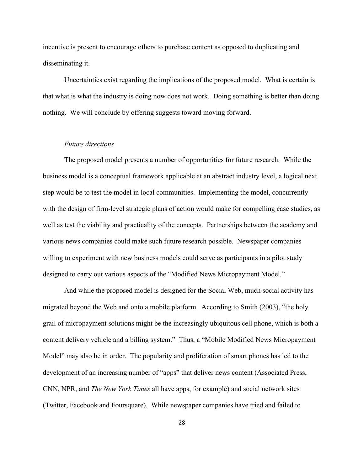incentive is present to encourage others to purchase content as opposed to duplicating and disseminating it.

Uncertainties exist regarding the implications of the proposed model. What is certain is that what is what the industry is doing now does not work. Doing something is better than doing nothing. We will conclude by offering suggests toward moving forward.

## *Future directions*

The proposed model presents a number of opportunities for future research. While the business model is a conceptual framework applicable at an abstract industry level, a logical next step would be to test the model in local communities. Implementing the model, concurrently with the design of firm-level strategic plans of action would make for compelling case studies, as well as test the viability and practicality of the concepts. Partnerships between the academy and various news companies could make such future research possible. Newspaper companies willing to experiment with new business models could serve as participants in a pilot study designed to carry out various aspects of the "Modified News Micropayment Model."

And while the proposed model is designed for the Social Web, much social activity has migrated beyond the Web and onto a mobile platform. According to Smith (2003), "the holy grail of micropayment solutions might be the increasingly ubiquitous cell phone, which is both a content delivery vehicle and a billing system." Thus, a "Mobile Modified News Micropayment Model" may also be in order. The popularity and proliferation of smart phones has led to the development of an increasing number of "apps" that deliver news content (Associated Press, CNN, NPR, and *The New York Times* all have apps, for example) and social network sites (Twitter, Facebook and Foursquare). While newspaper companies have tried and failed to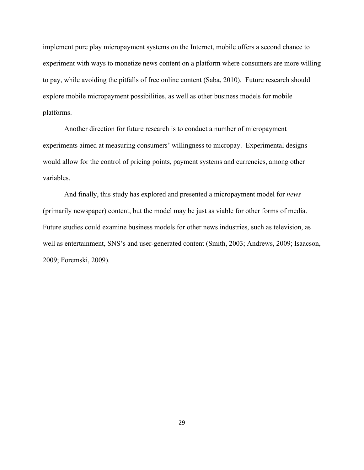implement pure play micropayment systems on the Internet, mobile offers a second chance to experiment with ways to monetize news content on a platform where consumers are more willing to pay, while avoiding the pitfalls of free online content (Saba, 2010). Future research should explore mobile micropayment possibilities, as well as other business models for mobile platforms.

Another direction for future research is to conduct a number of micropayment experiments aimed at measuring consumers' willingness to micropay. Experimental designs would allow for the control of pricing points, payment systems and currencies, among other variables.

And finally, this study has explored and presented a micropayment model for *news* (primarily newspaper) content, but the model may be just as viable for other forms of media. Future studies could examine business models for other news industries, such as television, as well as entertainment, SNS's and user-generated content (Smith, 2003; Andrews, 2009; Isaacson, 2009; Foremski, 2009).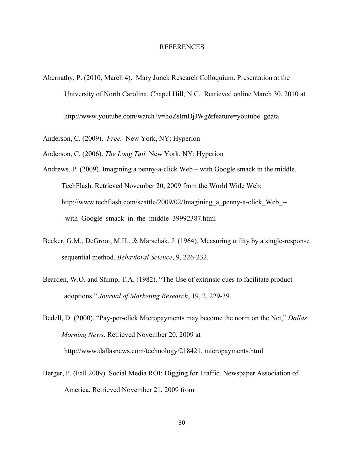#### REFERENCES

Abernathy, P. (2010, March 4). Mary Junck Research Colloquium. Presentation at the University of North Carolina. Chapel Hill, N.C. Retrieved online March 30, 2010 at http://www.youtube.com/watch?v=hoZsImDjJWg&feature=youtube\_gdata

Anderson, C. (2009). *Free.* New York, NY: Hyperion

Anderson, C. (2006). *The Long Tail.* New York, NY: Hyperion

- Andrews, P. (2009). Imagining a penny-a-click Web with Google smack in the middle. TechFlash. Retrieved November 20, 2009 from the World Wide Web: http://www.techflash.com/seattle/2009/02/Imagining a penny-a-click Web-with Google smack in the middle 39992387.html
- Becker, G.M., DeGroot, M.H., & Marschak, J. (1964). Measuring utility by a single-response sequential method. *Behavioral Science*, 9, 226-232.
- Bearden, W.O. and Shimp, T.A. (1982). "The Use of extrinsic cues to facilitate product adoptions." *Journal of Marketing Research*, 19, 2, 229-39.

Bedell, D. (2000). "Pay-per-click Micropayments may become the norm on the Net," *Dallas Morning News*. Retrieved November 20, 2009 at http://www.dallasnews.com/technology/218421, micropayments.html

Berger, P. (Fall 2009). Social Media ROI: Digging for Traffic. Newspaper Association of America. Retrieved November 21, 2009 from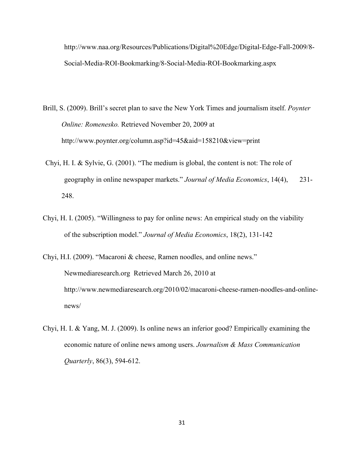http://www.naa.org/Resources/Publications/Digital%20Edge/Digital-Edge-Fall-2009/8- Social-Media-ROI-Bookmarking/8-Social-Media-ROI-Bookmarking.aspx

- Brill, S. (2009). Brill's secret plan to save the New York Times and journalism itself. *Poynter Online: Romenesko.* Retrieved November 20, 2009 at http://www.poynter.org/column.asp?id=45&aid=158210&view=print
- Chyi, H. I. & Sylvie, G. (2001). "The medium is global, the content is not: The role of geography in online newspaper markets." *Journal of Media Economics*, 14(4), 231- 248.
- Chyi, H. I. (2005). "Willingness to pay for online news: An empirical study on the viability of the subscription model." *Journal of Media Economics*, 18(2), 131-142
- Chyi, H.I. (2009). "Macaroni & cheese, Ramen noodles, and online news." Newmediaresearch.org Retrieved March 26, 2010 at http://www.newmediaresearch.org/2010/02/macaroni-cheese-ramen-noodles-and-onlinenews/
- Chyi, H. I. & Yang, M. J. (2009). Is online news an inferior good? Empirically examining the economic nature of online news among users. *Journalism & Mass Communication Quarterly*, 86(3), 594-612.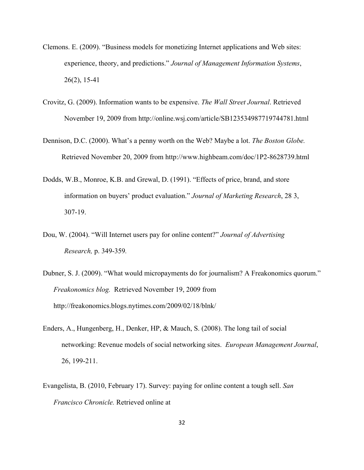- Clemons. E. (2009). "Business models for monetizing Internet applications and Web sites: experience, theory, and predictions." *Journal of Management Information Systems*, 26(2), 15-41
- Crovitz, G. (2009). Information wants to be expensive. *The Wall Street Journal*. Retrieved November 19, 2009 from http://online.wsj.com/article/SB123534987719744781.html
- Dennison, D.C. (2000). What's a penny worth on the Web? Maybe a lot. *The Boston Globe.* Retrieved November 20, 2009 from http://www.highbeam.com/doc/1P2-8628739.html
- Dodds, W.B., Monroe, K.B. and Grewal, D. (1991). "Effects of price, brand, and store information on buyers' product evaluation." *Journal of Marketing Research*, 28 3, 307-19.
- Dou, W. (2004). "Will Internet users pay for online content?" *Journal of Advertising Research,* p. 349-359*.*
- Dubner, S. J. (2009). "What would micropayments do for journalism? A Freakonomics quorum." *Freakonomics blog.* Retrieved November 19, 2009 from http://freakonomics.blogs.nytimes.com/2009/02/18/blnk/
- Enders, A., Hungenberg, H., Denker, HP, & Mauch, S. (2008). The long tail of social networking: Revenue models of social networking sites. *European Management Journal*, 26, 199-211.
- Evangelista, B. (2010, February 17). Survey: paying for online content a tough sell. *San Francisco Chronicle.* Retrieved online at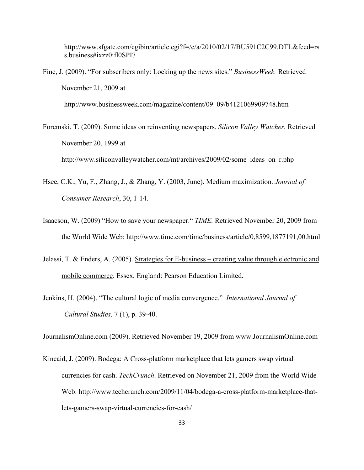http://www.sfgate.com/cgibin/article.cgi?f=/c/a/2010/02/17/BU591C2C99.DTL&feed=rs s.business#ixzz0ifl0SPI7

Fine, J. (2009). "For subscribers only: Locking up the news sites." *BusinessWeek.* Retrieved November 21, 2009 at

http://www.businessweek.com/magazine/content/09\_09/b4121069909748.htm

Foremski, T. (2009). Some ideas on reinventing newspapers. *Silicon Valley Watcher.* Retrieved November 20, 1999 at

http://www.siliconvalleywatcher.com/mt/archives/2009/02/some\_ideas\_on\_r.php

- Hsee, C.K., Yu, F., Zhang, J., & Zhang, Y. (2003, June). Medium maximization. *Journal of Consumer Research*, 30, 1-14.
- Isaacson, W. (2009) "How to save your newspaper." *TIME.* Retrieved November 20, 2009 from the World Wide Web: http://www.time.com/time/business/article/0,8599,1877191,00.html
- Jelassi, T. & Enders, A. (2005). Strategies for E-business creating value through electronic and mobile commerce. Essex, England: Pearson Education Limited.
- Jenkins, H. (2004). "The cultural logic of media convergence." *International Journal of Cultural Studies,* 7 (1), p. 39-40.

JournalismOnline.com (2009). Retrieved November 19, 2009 from www.JournalismOnline.com

Kincaid, J. (2009). Bodega: A Cross-platform marketplace that lets gamers swap virtual currencies for cash. *TechCrunch*. Retrieved on November 21, 2009 from the World Wide Web: http://www.techcrunch.com/2009/11/04/bodega-a-cross-platform-marketplace-thatlets-gamers-swap-virtual-currencies-for-cash/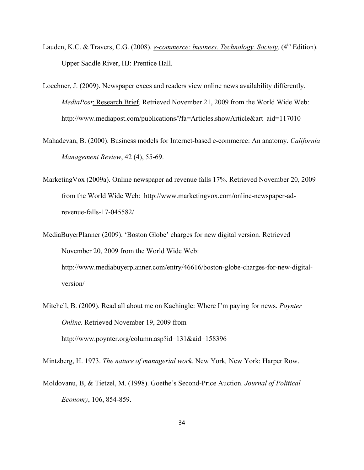- Lauden, K.C. & Travers, C.G. (2008). *e-commerce: business. Technology. Society*, (4<sup>th</sup> Edition). Upper Saddle River, HJ: Prentice Hall.
- Loechner, J. (2009). Newspaper execs and readers view online news availability differently. *MediaPost*: Research Brief. Retrieved November 21, 2009 from the World Wide Web: http://www.mediapost.com/publications/?fa=Articles.showArticle&art\_aid=117010
- Mahadevan, B. (2000). Business models for Internet-based e-commerce: An anatomy. *California Management Review*, 42 (4), 55-69.
- MarketingVox (2009a). Online newspaper ad revenue falls 17%. Retrieved November 20, 2009 from the World Wide Web: http://www.marketingvox.com/online-newspaper-adrevenue-falls-17-045582/

MediaBuyerPlanner (2009). 'Boston Globe' charges for new digital version. Retrieved November 20, 2009 from the World Wide Web: http://www.mediabuyerplanner.com/entry/46616/boston-globe-charges-for-new-digitalversion/

Mitchell, B. (2009). Read all about me on Kachingle: Where I'm paying for news. *Poynter Online.* Retrieved November 19, 2009 from http://www.poynter.org/column.asp?id=131&aid=158396

Mintzberg, H. 1973. *The nature of managerial work.* New York*,* New York: Harper Row.

Moldovanu, B, & Tietzel, M. (1998). Goethe's Second-Price Auction. *Journal of Political Economy*, 106, 854-859.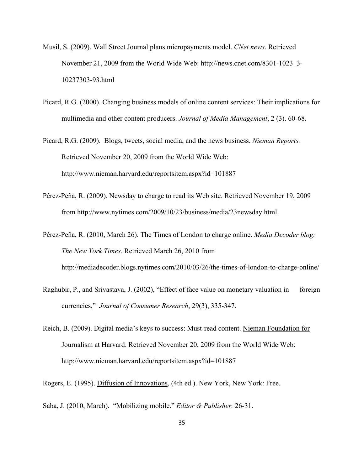- Musil, S. (2009). Wall Street Journal plans micropayments model. *CNet news*. Retrieved November 21, 2009 from the World Wide Web: http://news.cnet.com/8301-1023\_3- 10237303-93.html
- Picard, R.G. (2000). Changing business models of online content services: Their implications for multimedia and other content producers. *Journal of Media Management*, 2 (3). 60-68.
- Picard, R.G. (2009). Blogs, tweets, social media, and the news business. *Nieman Reports.*  Retrieved November 20, 2009 from the World Wide Web: http://www.nieman.harvard.edu/reportsitem.aspx?id=101887
- Pérez-Peña, R. (2009). Newsday to charge to read its Web site. Retrieved November 19, 2009 from http://www.nytimes.com/2009/10/23/business/media/23newsday.html

Pérez-Peña, R. (2010, March 26). The Times of London to charge online. *Media Decoder blog: The New York Times*. Retrieved March 26, 2010 from http://mediadecoder.blogs.nytimes.com/2010/03/26/the-times-of-london-to-charge-online/

- Raghubir, P., and Srivastava, J. (2002), "Effect of face value on monetary valuation in foreign currencies," *Journal of Consumer Research*, 29(3), 335-347.
- Reich, B. (2009). Digital media's keys to success: Must-read content. Nieman Foundation for Journalism at Harvard. Retrieved November 20, 2009 from the World Wide Web: http://www.nieman.harvard.edu/reportsitem.aspx?id=101887

Rogers, E. (1995). Diffusion of Innovations, (4th ed.). New York, New York: Free.

Saba, J. (2010, March). "Mobilizing mobile." *Editor & Publisher.* 26-31.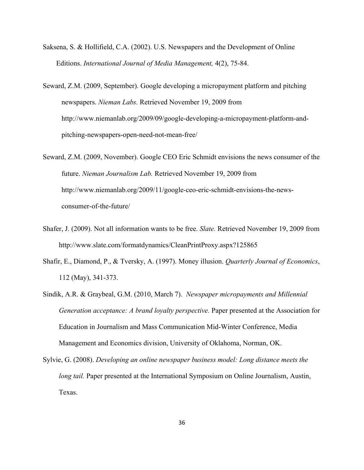- Saksena, S. & Hollifield, C.A. (2002). U.S. Newspapers and the Development of Online Editions. *International Journal of Media Management,* 4(2), 75-84.
- Seward, Z.M. (2009, September). Google developing a micropayment platform and pitching newspapers. *Nieman Labs.* Retrieved November 19, 2009 from http://www.niemanlab.org/2009/09/google-developing-a-micropayment-platform-andpitching-newspapers-open-need-not-mean-free/
- Seward, Z.M. (2009, November). Google CEO Eric Schmidt envisions the news consumer of the future. *Nieman Journalism Lab.* Retrieved November 19, 2009 from http://www.niemanlab.org/2009/11/google-ceo-eric-schmidt-envisions-the-newsconsumer-of-the-future/
- Shafer, J. (2009). Not all information wants to be free. *Slate.* Retrieved November 19, 2009 from http://www.slate.com/formatdynamics/CleanPrintProxy.aspx?125865
- Shafir, E., Diamond, P., & Tversky, A. (1997). Money illusion. *Quarterly Journal of Economics*, 112 (May), 341-373.
- Sindik, A.R. & Graybeal, G.M. (2010, March 7). *Newspaper micropayments and Millennial Generation acceptance: A brand loyalty perspective.* Paper presented at the Association for Education in Journalism and Mass Communication Mid-Winter Conference, Media Management and Economics division, University of Oklahoma, Norman, OK.
- Sylvie, G. (2008). *Developing an online newspaper business model: Long distance meets the long tail.* Paper presented at the International Symposium on Online Journalism, Austin, Texas.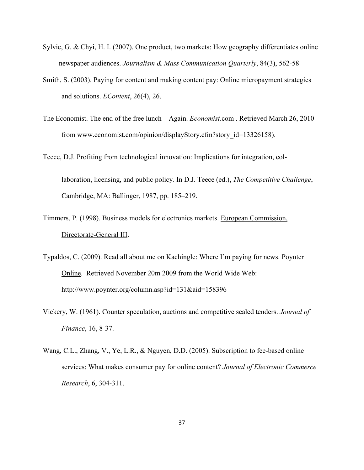- Sylvie, G. & Chyi, H. I. (2007). One product, two markets: How geography differentiates online newspaper audiences. *Journalism & Mass Communication Quarterly*, 84(3), 562-58
- Smith, S. (2003). Paying for content and making content pay: Online micropayment strategies and solutions. *EContent*, 26(4), 26.
- The Economist. The end of the free lunch—Again. *Economist*.com . Retrieved March 26, 2010 from www.economist.com/opinion/displayStory.cfm?story\_id=13326158).
- Teece, D.J. Profiting from technological innovation: Implications for integration, collaboration, licensing, and public policy. In D.J. Teece (ed.), *The Competitive Challenge*, Cambridge, MA: Ballinger, 1987, pp. 185–219.
- Timmers, P. (1998). Business models for electronics markets. European Commission, Directorate-General III.
- Typaldos, C. (2009). Read all about me on Kachingle: Where I'm paying for news. Poynter Online. Retrieved November 20m 2009 from the World Wide Web: http://www.poynter.org/column.asp?id=131&aid=158396
- Vickery, W. (1961). Counter speculation, auctions and competitive sealed tenders. *Journal of Finance*, 16, 8-37.
- Wang, C.L., Zhang, V., Ye, L.R., & Nguyen, D.D. (2005). Subscription to fee-based online services: What makes consumer pay for online content? *Journal of Electronic Commerce Research*, 6, 304-311.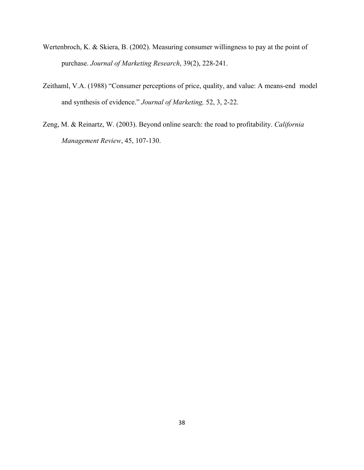- Wertenbroch, K. & Skiera, B. (2002). Measuring consumer willingness to pay at the point of purchase. *Journal of Marketing Research*, 39(2), 228-241.
- Zeithaml, V.A. (1988) "Consumer perceptions of price, quality, and value: A means-end model and synthesis of evidence." *Journal of Marketing,* 52, 3, 2-22.
- Zeng, M. & Reinartz, W. (2003). Beyond online search: the road to profitability. *California Management Review*, 45, 107-130.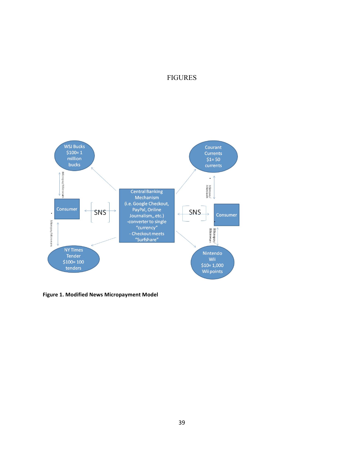## FIGURES



Figure 1. Modified News Micropayment Model